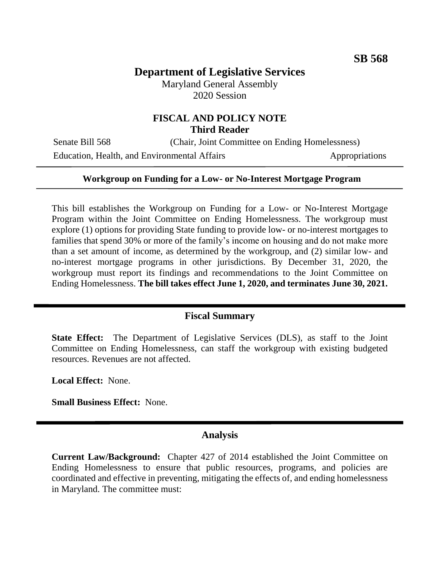# **Department of Legislative Services**

Maryland General Assembly 2020 Session

### **FISCAL AND POLICY NOTE Third Reader**

Senate Bill 568 (Chair, Joint Committee on Ending Homelessness) Education, Health, and Environmental Affairs Appropriations

#### **Workgroup on Funding for a Low- or No-Interest Mortgage Program**

This bill establishes the Workgroup on Funding for a Low- or No-Interest Mortgage Program within the Joint Committee on Ending Homelessness. The workgroup must explore (1) options for providing State funding to provide low- or no-interest mortgages to families that spend 30% or more of the family's income on housing and do not make more than a set amount of income, as determined by the workgroup, and (2) similar low- and no-interest mortgage programs in other jurisdictions. By December 31, 2020, the workgroup must report its findings and recommendations to the Joint Committee on Ending Homelessness. **The bill takes effect June 1, 2020, and terminates June 30, 2021.**

#### **Fiscal Summary**

**State Effect:** The Department of Legislative Services (DLS), as staff to the Joint Committee on Ending Homelessness, can staff the workgroup with existing budgeted resources. Revenues are not affected.

**Local Effect:** None.

**Small Business Effect:** None.

#### **Analysis**

**Current Law/Background:** Chapter 427 of 2014 established the Joint Committee on Ending Homelessness to ensure that public resources, programs, and policies are coordinated and effective in preventing, mitigating the effects of, and ending homelessness in Maryland. The committee must: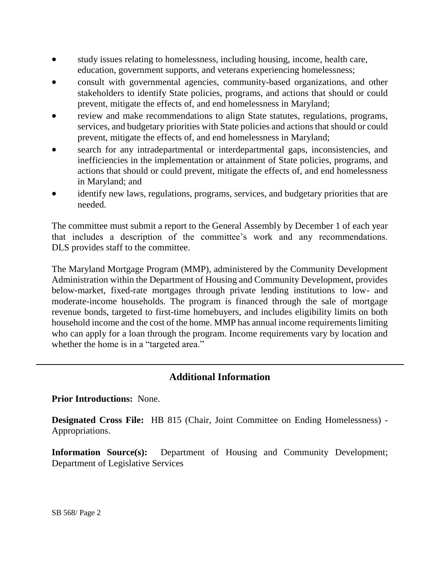- study issues relating to homelessness, including housing, income, health care, education, government supports, and veterans experiencing homelessness;
- consult with governmental agencies, community-based organizations, and other stakeholders to identify State policies, programs, and actions that should or could prevent, mitigate the effects of, and end homelessness in Maryland;
- review and make recommendations to align State statutes, regulations, programs, services, and budgetary priorities with State policies and actions that should or could prevent, mitigate the effects of, and end homelessness in Maryland;
- search for any intradepartmental or interdepartmental gaps, inconsistencies, and inefficiencies in the implementation or attainment of State policies, programs, and actions that should or could prevent, mitigate the effects of, and end homelessness in Maryland; and
- identify new laws, regulations, programs, services, and budgetary priorities that are needed.

The committee must submit a report to the General Assembly by December 1 of each year that includes a description of the committee's work and any recommendations. DLS provides staff to the committee.

The Maryland Mortgage Program (MMP), administered by the Community Development Administration within the Department of Housing and Community Development, provides below-market, fixed-rate mortgages through private lending institutions to low- and moderate-income households. The program is financed through the sale of mortgage revenue bonds, targeted to first-time homebuyers, and includes eligibility limits on both household income and the cost of the home. MMP has annual income requirements limiting who can apply for a loan through the program. Income requirements vary by location and whether the home is in a "targeted area."

## **Additional Information**

### **Prior Introductions:** None.

**Designated Cross File:** HB 815 (Chair, Joint Committee on Ending Homelessness) - Appropriations.

**Information Source(s):** Department of Housing and Community Development; Department of Legislative Services